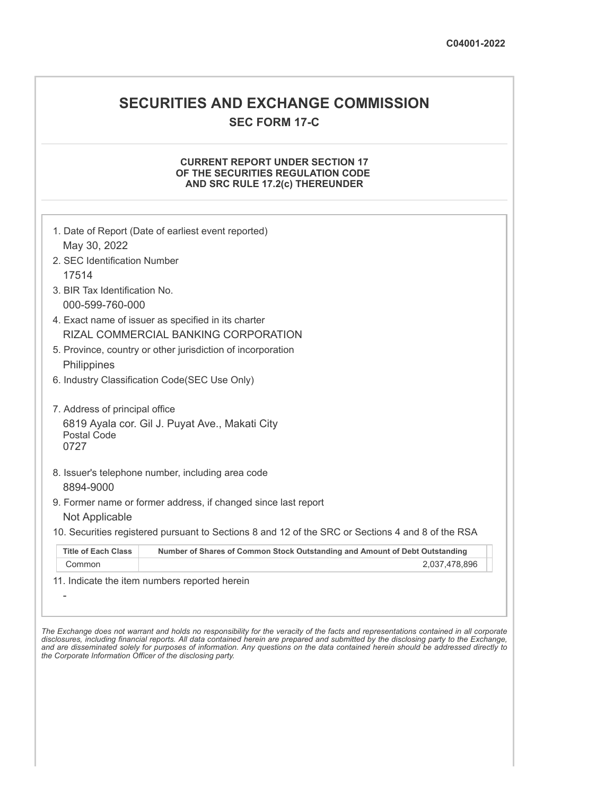# **SECURITIES AND EXCHANGE COMMISSION SEC FORM 17-C**

## **CURRENT REPORT UNDER SECTION 17 OF THE SECURITIES REGULATION CODE AND SRC RULE 17.2(c) THEREUNDER**

| May 30, 2022<br>2. SEC Identification Number |                                                                                                   |
|----------------------------------------------|---------------------------------------------------------------------------------------------------|
| 17514                                        |                                                                                                   |
| 3. BIR Tax Identification No.                |                                                                                                   |
| 000-599-760-000                              |                                                                                                   |
|                                              | 4. Exact name of issuer as specified in its charter                                               |
|                                              | RIZAL COMMERCIAL BANKING CORPORATION                                                              |
|                                              | 5. Province, country or other jurisdiction of incorporation                                       |
| Philippines                                  |                                                                                                   |
|                                              | 6. Industry Classification Code(SEC Use Only)                                                     |
|                                              |                                                                                                   |
| 7. Address of principal office               |                                                                                                   |
| <b>Postal Code</b><br>0727                   | 6819 Ayala cor. Gil J. Puyat Ave., Makati City                                                    |
| 8894-9000                                    | 8. Issuer's telephone number, including area code                                                 |
|                                              | 9. Former name or former address, if changed since last report                                    |
| Not Applicable                               |                                                                                                   |
|                                              | 10. Securities registered pursuant to Sections 8 and 12 of the SRC or Sections 4 and 8 of the RSA |
| <b>Title of Each Class</b>                   | Number of Shares of Common Stock Outstanding and Amount of Debt Outstanding                       |
| Common                                       | 2,037,478,896                                                                                     |
|                                              | 11. Indicate the item numbers reported herein                                                     |
|                                              |                                                                                                   |
|                                              |                                                                                                   |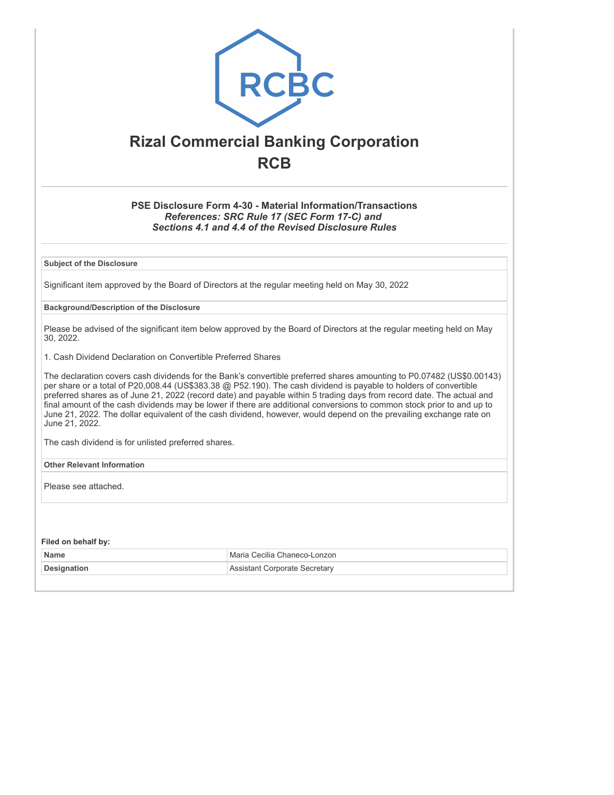

# **Rizal Commercial Banking Corporation RCB**

**PSE Disclosure Form 4-30 - Material Information/Transactions** *References: SRC Rule 17 (SEC Form 17-C) and Sections 4.1 and 4.4 of the Revised Disclosure Rules*

**Subject of the Disclosure**

Significant item approved by the Board of Directors at the regular meeting held on May 30, 2022

### **Background/Description of the Disclosure**

Please be advised of the significant item below approved by the Board of Directors at the regular meeting held on May 30, 2022.

1. Cash Dividend Declaration on Convertible Preferred Shares

The declaration covers cash dividends for the Bank's convertible preferred shares amounting to P0.07482 (US\$0.00143) per share or a total of P20,008.44 (US\$383.38 @ P52.190). The cash dividend is payable to holders of convertible preferred shares as of June 21, 2022 (record date) and payable within 5 trading days from record date. The actual and final amount of the cash dividends may be lower if there are additional conversions to common stock prior to and up to June 21, 2022. The dollar equivalent of the cash dividend, however, would depend on the prevailing exchange rate on June 21, 2022.

The cash dividend is for unlisted preferred shares.

**Other Relevant Information**

Please see attached.

**Filed on behalf by:**

| <b>Name</b>        | Maria Cecilia Chaneco-Lonzon |
|--------------------|------------------------------|
| <b>Designation</b> | : Corporate Secretary        |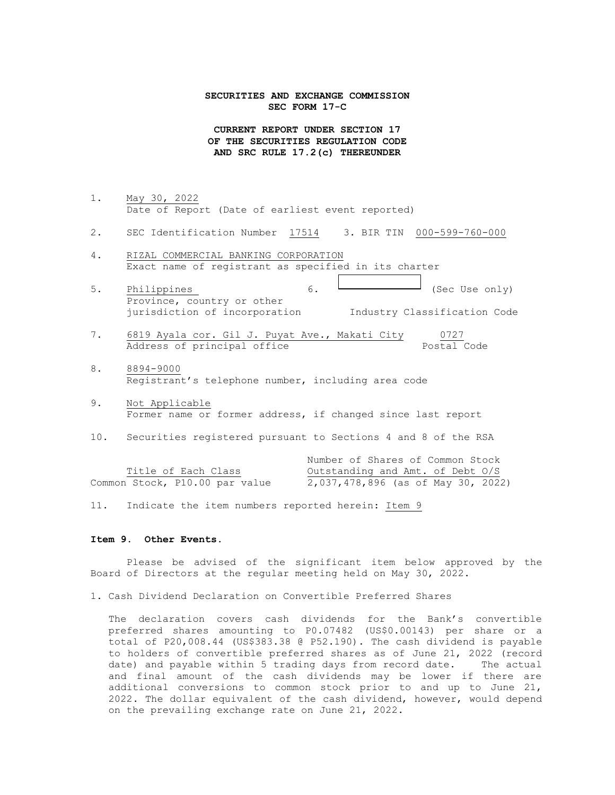#### **SECURITIES AND EXCHANGE COMMISSION SEC FORM 17-C**

**CURRENT REPORT UNDER SECTION 17 OF THE SECURITIES REGULATION CODE AND SRC RULE 17.2(c) THEREUNDER**

- 1. May 30, 2022 Date of Report (Date of earliest event reported)
- 2. SEC Identification Number 17514 3. BIR TIN 000-599-760-000
- 4. RIZAL COMMERCIAL BANKING CORPORATION Exact name of registrant as specified in its charter
- 5. Philippines  $\begin{array}{ccc} 6. & \begin{array}{ccc} \rule{0.2cm}{0.2cm} & \rule{0.2cm}{0.2cm} \rule{0.2cm}{0.2cm} \end{array} & \begin{array}{ccc} 6. & \begin{array}{ccc} \rule{0.2cm}{0.2cm} & \rule{0.2cm}{0.2cm} \rule{0.2cm}{0.2cm} \end{array} & \begin{array}{ccc} 3\text{ec Use only} \end{array} \end{array}$ Province, country or other jurisdiction of incorporation Industry Classification Code
- 7. 6819 Ayala cor. Gil J. Puyat Ave., Makati City 0727 Address of principal office extending the Postal Code
- 8. 8894-9000 Registrant's telephone number, including area code
- 9. Not Applicable Former name or former address, if changed since last report
- 10. Securities registered pursuant to Sections 4 and 8 of the RSA

|                                | Number of Shares of Common Stock   |
|--------------------------------|------------------------------------|
| Title of Each Class            | Outstanding and Amt. of Debt O/S   |
| Common Stock, P10.00 par value | 2,037,478,896 (as of May 30, 2022) |

11. Indicate the item numbers reported herein: Item 9

#### **Item 9. Other Events.**

Please be advised of the significant item below approved by the Board of Directors at the regular meeting held on May 30, 2022.

1. Cash Dividend Declaration on Convertible Preferred Shares

The declaration covers cash dividends for the Bank's convertible preferred shares amounting to P0.07482 (US\$0.00143) per share or a total of P20,008.44 (US\$383.38 @ P52.190). The cash dividend is payable to holders of convertible preferred shares as of June 21, 2022 (record date) and payable within 5 trading days from record date. The actual and final amount of the cash dividends may be lower if there are additional conversions to common stock prior to and up to June 21, 2022. The dollar equivalent of the cash dividend, however, would depend on the prevailing exchange rate on June 21, 2022.